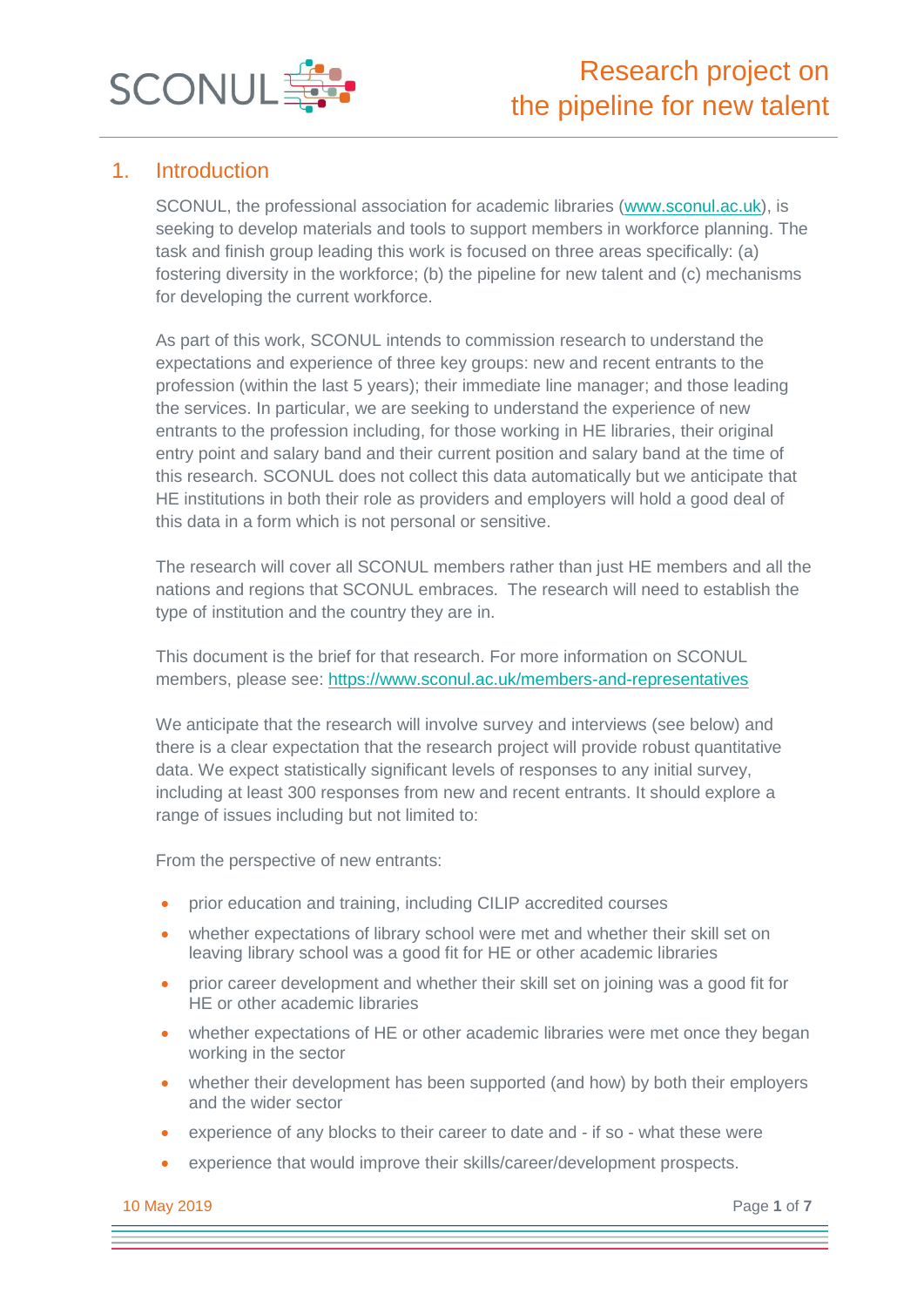

# 1. Introduction

SCONUL, the professional association for academic libraries [\(www.sconul.ac.uk\)](http://www.sconul.ac.uk/), is seeking to develop materials and tools to support members in workforce planning. The task and finish group leading this work is focused on three areas specifically: (a) fostering diversity in the workforce; (b) the pipeline for new talent and (c) mechanisms for developing the current workforce.

As part of this work, SCONUL intends to commission research to understand the expectations and experience of three key groups: new and recent entrants to the profession (within the last 5 years); their immediate line manager; and those leading the services. In particular, we are seeking to understand the experience of new entrants to the profession including, for those working in HE libraries, their original entry point and salary band and their current position and salary band at the time of this research. SCONUL does not collect this data automatically but we anticipate that HE institutions in both their role as providers and employers will hold a good deal of this data in a form which is not personal or sensitive.

The research will cover all SCONUL members rather than just HE members and all the nations and regions that SCONUL embraces. The research will need to establish the type of institution and the country they are in.

This document is the brief for that research. For more information on SCONUL members, please see: <https://www.sconul.ac.uk/members-and-representatives>

We anticipate that the research will involve survey and interviews (see below) and there is a clear expectation that the research project will provide robust quantitative data. We expect statistically significant levels of responses to any initial survey, including at least 300 responses from new and recent entrants. It should explore a range of issues including but not limited to:

From the perspective of new entrants:

- prior education and training, including CILIP accredited courses
- whether expectations of library school were met and whether their skill set on leaving library school was a good fit for HE or other academic libraries
- prior career development and whether their skill set on joining was a good fit for HE or other academic libraries
- whether expectations of HE or other academic libraries were met once they began working in the sector
- whether their development has been supported (and how) by both their employers and the wider sector
- experience of any blocks to their career to date and if so what these were
- experience that would improve their skills/career/development prospects.

10 May 2019 Page **1** of **7**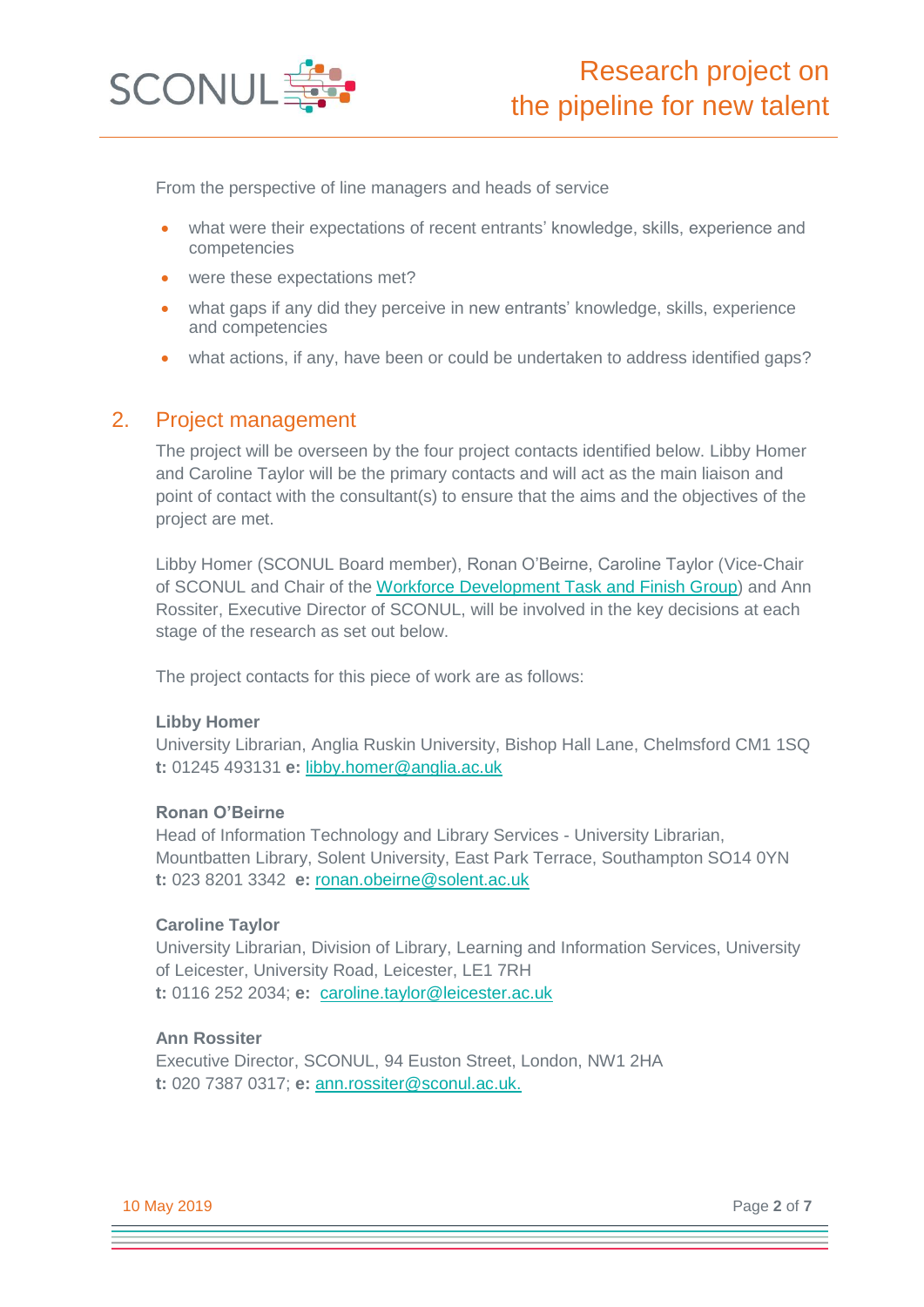

From the perspective of line managers and heads of service

- what were their expectations of recent entrants' knowledge, skills, experience and competencies
- were these expectations met?
- what gaps if any did they perceive in new entrants' knowledge, skills, experience and competencies
- what actions, if any, have been or could be undertaken to address identified gaps?

### 2. Project management

The project will be overseen by the four project contacts identified below. Libby Homer and Caroline Taylor will be the primary contacts and will act as the main liaison and point of contact with the consultant(s) to ensure that the aims and the objectives of the project are met.

Libby Homer (SCONUL Board member), Ronan O'Beirne, Caroline Taylor (Vice-Chair of SCONUL and Chair of the [Workforce Development Task and Finish Group\)](https://www.sconul.ac.uk/page/workforce-development-task-and-finish-group) and Ann Rossiter, Executive Director of SCONUL, will be involved in the key decisions at each stage of the research as set out below.

The project contacts for this piece of work are as follows:

#### **Libby Homer**

University Librarian, Anglia Ruskin University, Bishop Hall Lane, Chelmsford CM1 1SQ **t:** 01245 493131 **e:** [libby.homer@anglia.ac.uk](mailto:libby.homer@anglia.ac.uk)

#### **Ronan O'Beirne**

Head of Information Technology and Library Services - University Librarian, Mountbatten Library, Solent University, East Park Terrace, Southampton SO14 0YN **t:** 023 8201 3342 **e:** [ronan.obeirne@solent.ac.uk](mailto:ronan.obeirne@solent.ac.uk)

#### **Caroline Taylor**

University Librarian, Division of Library, Learning and Information Services, University of Leicester, University Road, Leicester, LE1 7RH **t:** 0116 252 2034; **e:** [caroline.taylor@leicester.ac.uk](mailto:caroline.taylor@leicester.ac.uk) 

#### **Ann Rossiter**

Executive Director, SCONUL, 94 Euston Street, London, NW1 2HA **t:** 020 7387 0317; **e:** [ann.rossiter@sconul.ac.uk.](mailto:ann.rossiter@sconul.ac.uk)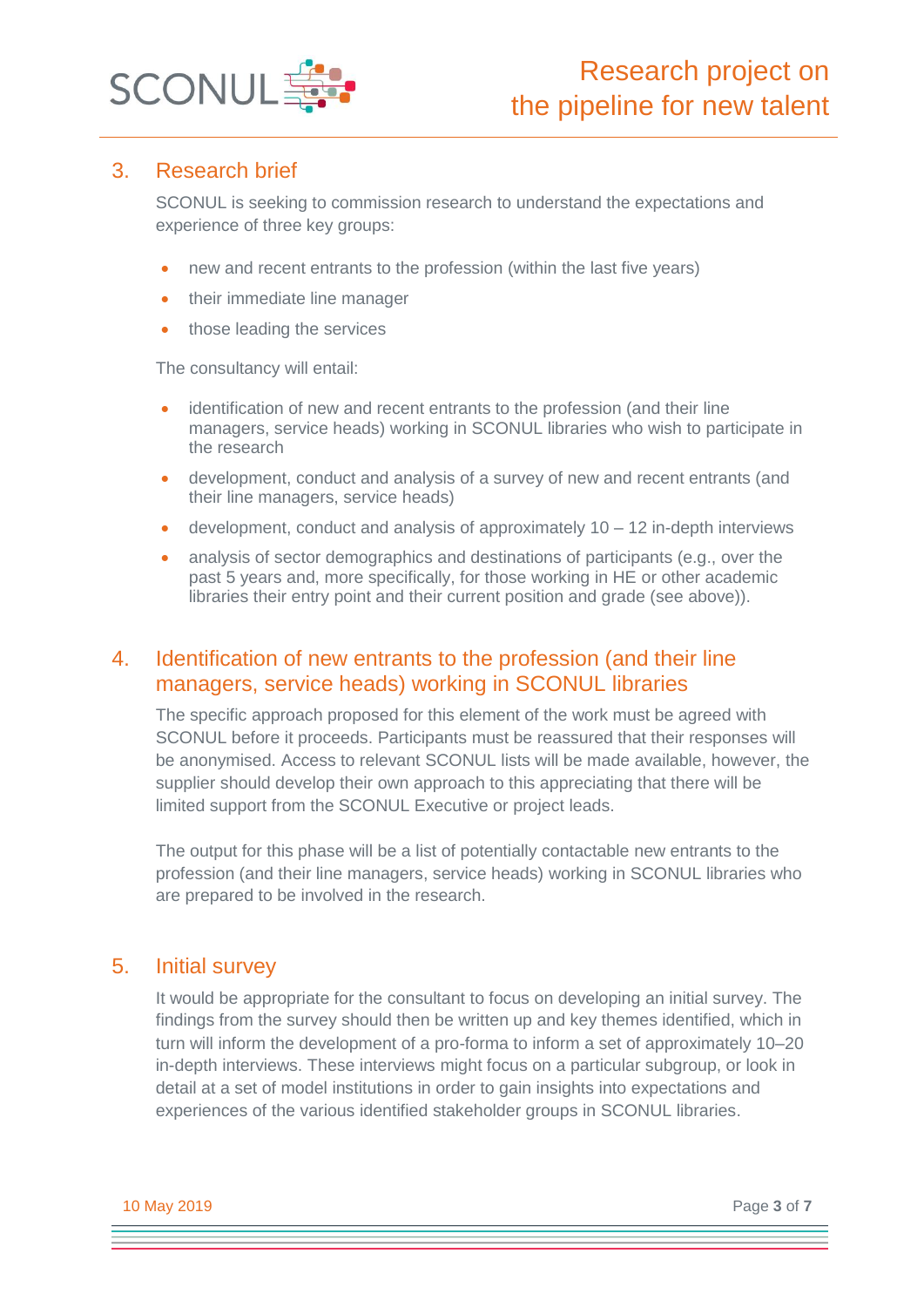

## 3. Research brief

SCONUL is seeking to commission research to understand the expectations and experience of three key groups:

- new and recent entrants to the profession (within the last five years)
- their immediate line manager
- those leading the services

The consultancy will entail:

- identification of new and recent entrants to the profession (and their line managers, service heads) working in SCONUL libraries who wish to participate in the research
- development, conduct and analysis of a survey of new and recent entrants (and their line managers, service heads)
- development, conduct and analysis of approximately 10 12 in-depth interviews
- analysis of sector demographics and destinations of participants (e.g., over the past 5 years and, more specifically, for those working in HE or other academic libraries their entry point and their current position and grade (see above)).

# 4. Identification of new entrants to the profession (and their line managers, service heads) working in SCONUL libraries

The specific approach proposed for this element of the work must be agreed with SCONUL before it proceeds. Participants must be reassured that their responses will be anonymised. Access to relevant SCONUL lists will be made available, however, the supplier should develop their own approach to this appreciating that there will be limited support from the SCONUL Executive or project leads.

The output for this phase will be a list of potentially contactable new entrants to the profession (and their line managers, service heads) working in SCONUL libraries who are prepared to be involved in the research.

# 5. Initial survey

It would be appropriate for the consultant to focus on developing an initial survey. The findings from the survey should then be written up and key themes identified, which in turn will inform the development of a pro-forma to inform a set of approximately 10–20 in-depth interviews. These interviews might focus on a particular subgroup, or look in detail at a set of model institutions in order to gain insights into expectations and experiences of the various identified stakeholder groups in SCONUL libraries.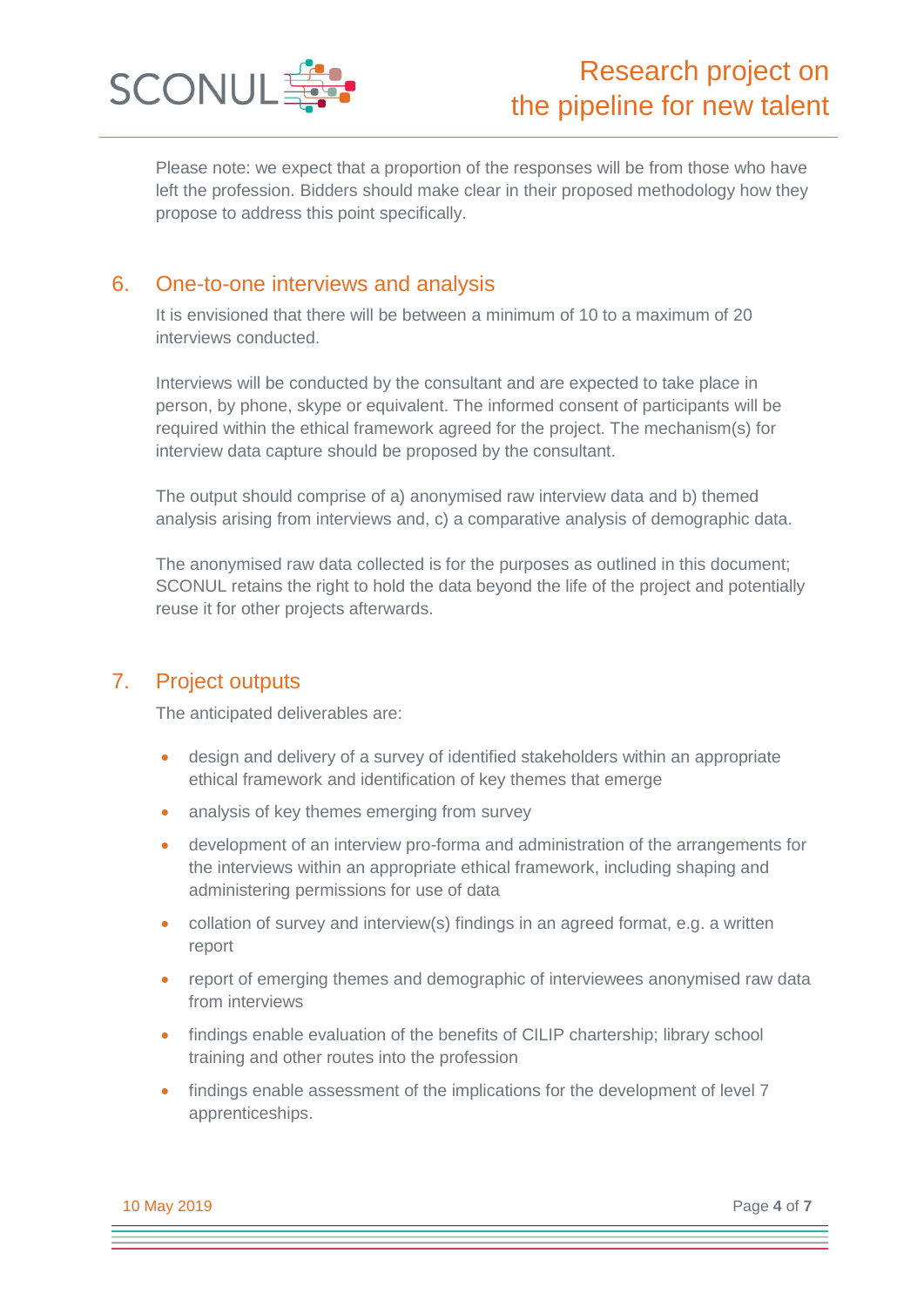

Please note: we expect that a proportion of the responses will be from those who have left the profession. Bidders should make clear in their proposed methodology how they propose to address this point specifically.

# 6. One-to-one interviews and analysis

It is envisioned that there will be between a minimum of 10 to a maximum of 20 interviews conducted.

Interviews will be conducted by the consultant and are expected to take place in person, by phone, skype or equivalent. The informed consent of participants will be required within the ethical framework agreed for the project. The mechanism(s) for interview data capture should be proposed by the consultant.

The output should comprise of a) anonymised raw interview data and b) themed analysis arising from interviews and, c) a comparative analysis of demographic data.

The anonymised raw data collected is for the purposes as outlined in this document; SCONUL retains the right to hold the data beyond the life of the project and potentially reuse it for other projects afterwards.

### 7. Project outputs

The anticipated deliverables are:

- design and delivery of a survey of identified stakeholders within an appropriate ethical framework and identification of key themes that emerge
- analysis of key themes emerging from survey
- development of an interview pro-forma and administration of the arrangements for the interviews within an appropriate ethical framework, including shaping and administering permissions for use of data
- collation of survey and interview(s) findings in an agreed format, e.g. a written report
- report of emerging themes and demographic of interviewees anonymised raw data from interviews
- findings enable evaluation of the benefits of CILIP chartership; library school training and other routes into the profession
- findings enable assessment of the implications for the development of level 7 apprenticeships.

10 May 2019 Page **4** of **7**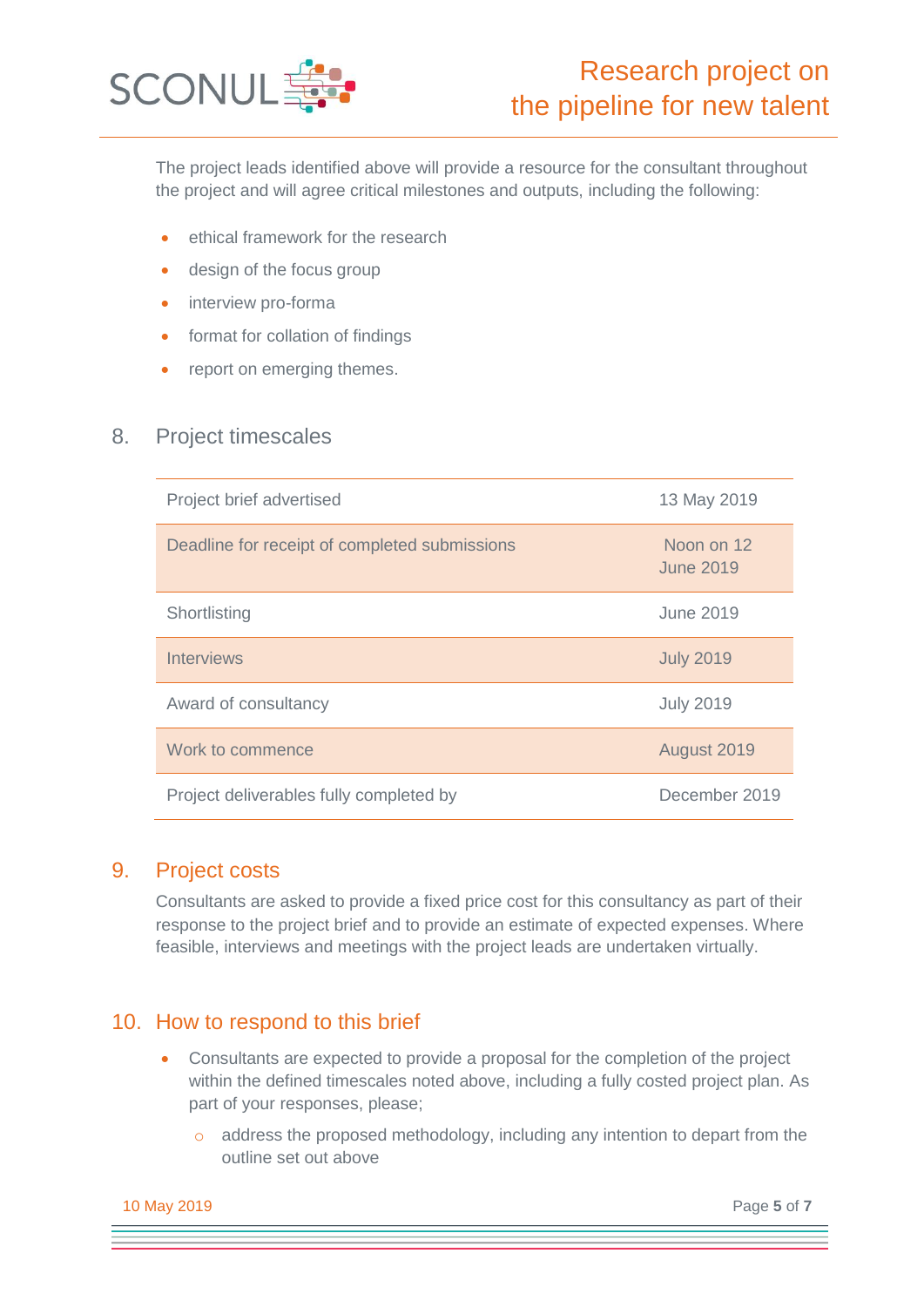

The project leads identified above will provide a resource for the consultant throughout the project and will agree critical milestones and outputs, including the following:

- ethical framework for the research
- design of the focus group
- interview pro-forma
- format for collation of findings
- report on emerging themes.

#### 8. Project timescales

| Project brief advertised                      | 13 May 2019             |
|-----------------------------------------------|-------------------------|
| Deadline for receipt of completed submissions | Noon on 12<br>June 2019 |
| Shortlisting                                  | June 2019               |
| <b>Interviews</b>                             | <b>July 2019</b>        |
| Award of consultancy                          | <b>July 2019</b>        |
| Work to commence                              | August 2019             |
| Project deliverables fully completed by       | December 2019           |

### 9. Project costs

Consultants are asked to provide a fixed price cost for this consultancy as part of their response to the project brief and to provide an estimate of expected expenses. Where feasible, interviews and meetings with the project leads are undertaken virtually.

# 10. How to respond to this brief

- Consultants are expected to provide a proposal for the completion of the project within the defined timescales noted above, including a fully costed project plan. As part of your responses, please;
	- o address the proposed methodology, including any intention to depart from the outline set out above

10 May 2019 Page **5** of **7**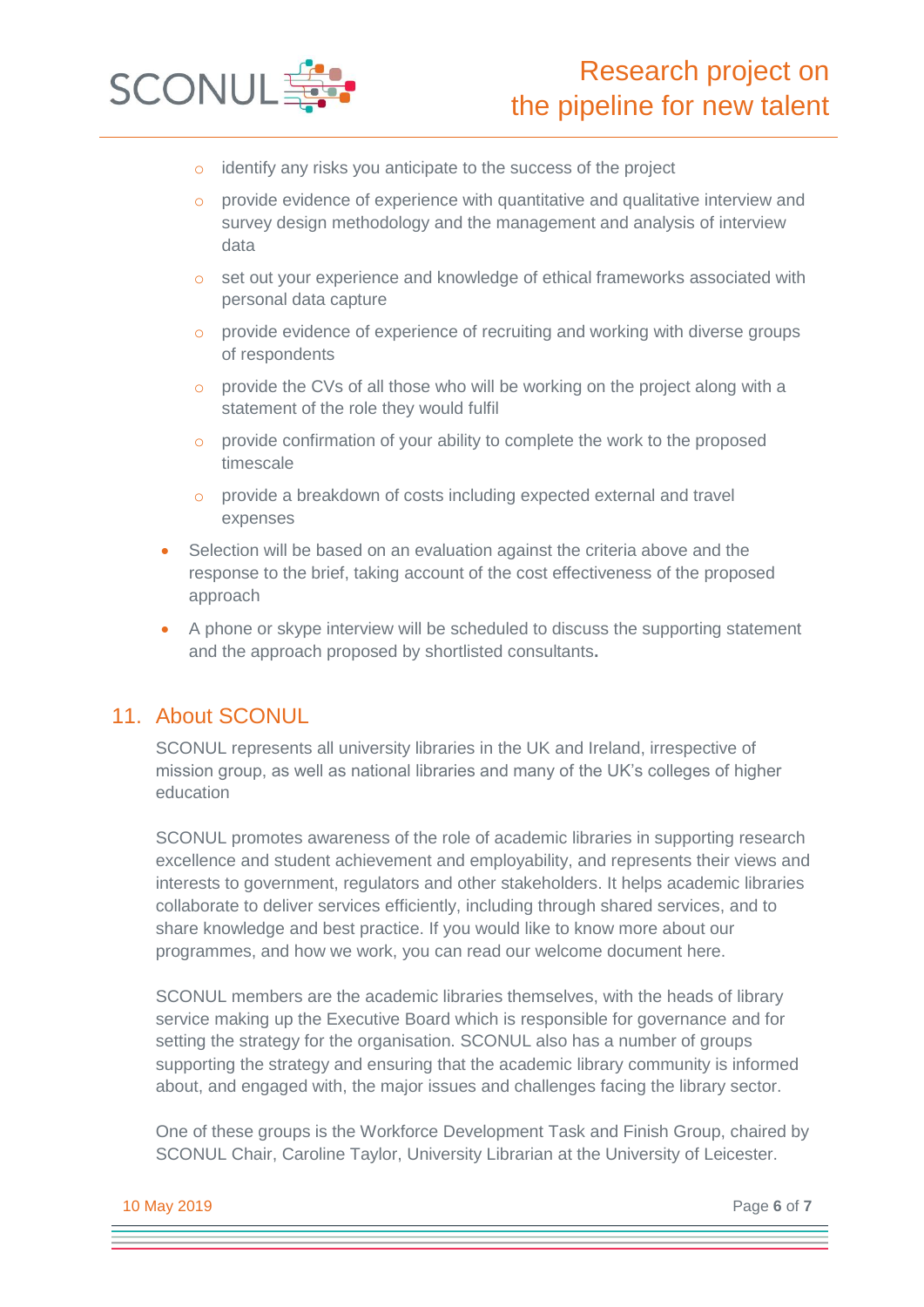

- identify any risks you anticipate to the success of the project
- o provide evidence of experience with quantitative and qualitative interview and survey design methodology and the management and analysis of interview data
- o set out your experience and knowledge of ethical frameworks associated with personal data capture
- o provide evidence of experience of recruiting and working with diverse groups of respondents
- o provide the CVs of all those who will be working on the project along with a statement of the role they would fulfil
- o provide confirmation of your ability to complete the work to the proposed timescale
- o provide a breakdown of costs including expected external and travel expenses
- Selection will be based on an evaluation against the criteria above and the response to the brief, taking account of the cost effectiveness of the proposed approach
- A phone or skype interview will be scheduled to discuss the supporting statement and the approach proposed by shortlisted consultants**.**

### 11. About SCONUL

SCONUL represents all university libraries in the UK and Ireland, irrespective of mission group, as well as national libraries and many of the UK's colleges of higher education

SCONUL promotes awareness of the role of academic libraries in supporting research excellence and student achievement and employability, and represents their views and interests to government, regulators and other stakeholders. It helps academic libraries collaborate to deliver services efficiently, including through shared services, and to share knowledge and best practice. If you would like to know more about our programmes, and how we work, you can read our welcome document here.

SCONUL members are the academic libraries themselves, with the heads of library service making up the Executive Board which is responsible for governance and for setting the strategy for the organisation. SCONUL also has a number of groups supporting the strategy and ensuring that the academic library community is informed about, and engaged with, the major issues and challenges facing the library sector.

One of these groups is the Workforce Development Task and Finish Group, chaired by SCONUL Chair, Caroline Taylor, University Librarian at the University of Leicester.

10 May 2019 Page **6** of **7**